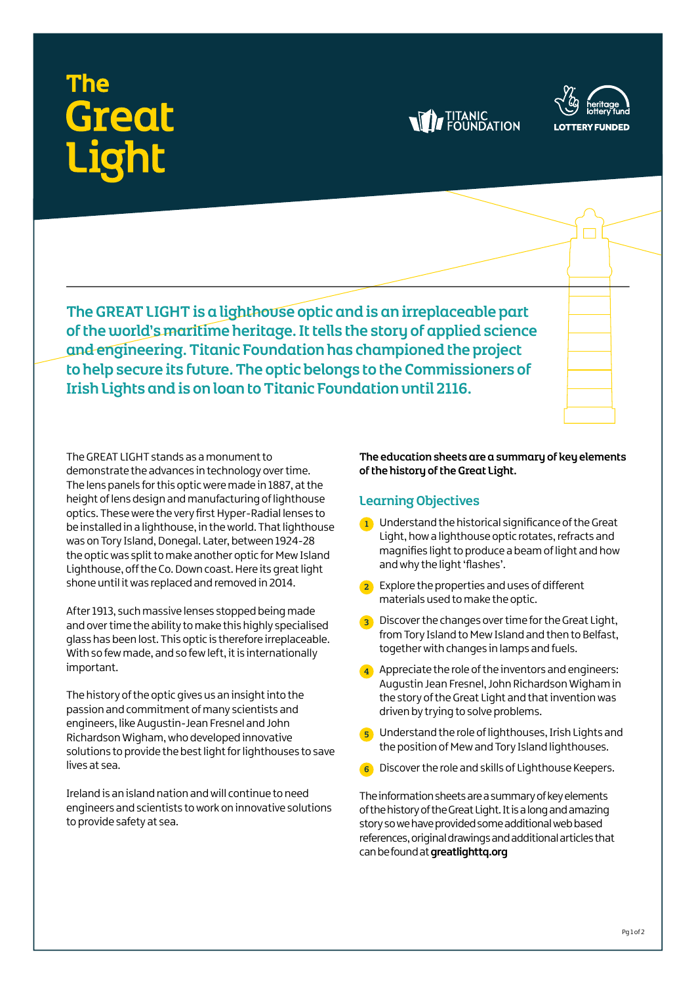# **Great**





The GREAT LIGHT is a lighthouse optic and is an irreplaceable part of the world's maritime heritage. It tells the story of applied science and engineering. Titanic Foundation has championed the project to help secure its future. The optic belongs to the Commissioners of Irish Lights and is on loan to Titanic Foundation until 2116.

The GREAT LIGHT stands as a monument to demonstrate the advances in technology over time. The lens panels for this optic were made in 1887, at the height of lens design and manufacturing of lighthouse optics. These were the very first Hyper-Radial lenses to be installed in a lighthouse, in the world. That lighthouse was on Tory Island, Donegal. Later, between 1924-28 the optic was split to make another optic for Mew Island Lighthouse, off the Co. Down coast. Here its great light shone until it was replaced and removed in 2014.

After 1913, such massive lenses stopped being made and over time the ability to make this highly specialised glass has been lost. This optic is therefore irreplaceable. With so few made, and so few left, it is internationally important.

The history of the optic gives us an insight into the passion and commitment of many scientists and engineers, like Augustin-Jean Fresnel and John Richardson Wigham, who developed innovative solutions to provide the best light for lighthouses to save lives at sea.

Ireland is an island nation and will continue to need engineers and scientists to work on innovative solutions to provide safety at sea.

The education sheets are a summary of key elements of the history of the Great Light.

#### Learning Objectives

- 1 Understand the historical significance of the Great Light, how a lighthouse optic rotates, refracts and magnifies light to produce a beam of light and how and why the light 'flashes'.
- <sup>2</sup> Explore the properties and uses of different materials used to make the optic.
- <sup>3</sup> Discover the changes over time for the Great Light, from Tory Island to Mew Island and then to Belfast, together with changes in lamps and fuels.
- $\left(4\right)$  Appreciate the role of the inventors and engineers: Augustin Jean Fresnel, John Richardson Wigham in the story of the Great Light and that invention was driven by trying to solve problems.
- 5 Understand the role of lighthouses, Irish Lights and the position of Mew and Tory Island lighthouses.
- 6 Discover the role and skills of Lighthouse Keepers.

The information sheets are a summary of key elements of the history of the Great Light. It is a long and amazing story so we have provided some additional web based references, original drawings and additional articles that can be found at **[greatlighttq.org](http://www.greatlighttq.org)**